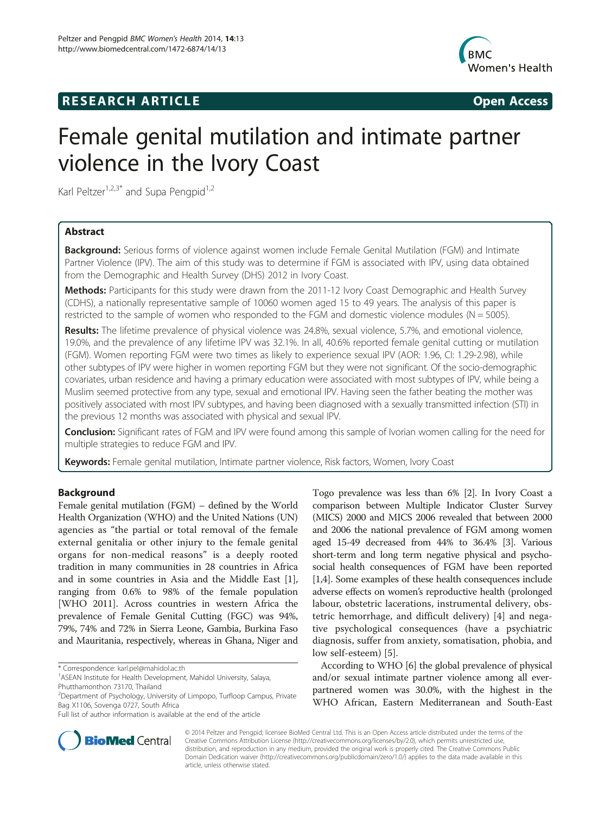## **RESEARCH ARTICLE Example 2014 CONSIDERING CONSIDERING CONSIDERING CONSIDERING CONSIDERING CONSIDERING CONSIDERING CONSIDERING CONSIDERING CONSIDERING CONSIDERING CONSIDERING CONSIDERING CONSIDERING CONSIDERING CONSIDE**



# Female genital mutilation and intimate partner violence in the Ivory Coast

Karl Peltzer<sup>1,2,3\*</sup> and Supa Pengpid<sup>1,2</sup>

## Abstract

Background: Serious forms of violence against women include Female Genital Mutilation (FGM) and Intimate Partner Violence (IPV). The aim of this study was to determine if FGM is associated with IPV, using data obtained from the Demographic and Health Survey (DHS) 2012 in Ivory Coast.

**Methods:** Participants for this study were drawn from the 2011-12 Ivory Coast Demographic and Health Survey (CDHS), a nationally representative sample of 10060 women aged 15 to 49 years. The analysis of this paper is restricted to the sample of women who responded to the FGM and domestic violence modules ( $N = 5005$ ).

Results: The lifetime prevalence of physical violence was 24.8%, sexual violence, 5.7%, and emotional violence, 19.0%, and the prevalence of any lifetime IPV was 32.1%. In all, 40.6% reported female genital cutting or mutilation (FGM). Women reporting FGM were two times as likely to experience sexual IPV (AOR: 1.96, CI: 1.29-2.98), while other subtypes of IPV were higher in women reporting FGM but they were not significant. Of the socio-demographic covariates, urban residence and having a primary education were associated with most subtypes of IPV, while being a Muslim seemed protective from any type, sexual and emotional IPV. Having seen the father beating the mother was positively associated with most IPV subtypes, and having been diagnosed with a sexually transmitted infection (STI) in the previous 12 months was associated with physical and sexual IPV.

Conclusion: Significant rates of FGM and IPV were found among this sample of Ivorian women calling for the need for multiple strategies to reduce FGM and IPV.

Keywords: Female genital mutilation, Intimate partner violence, Risk factors, Women, Ivory Coast

## Background

Female genital mutilation (FGM) – defined by the World Health Organization (WHO) and the United Nations (UN) agencies as "the partial or total removal of the female external genitalia or other injury to the female genital organs for non-medical reasons" is a deeply rooted tradition in many communities in 28 countries in Africa and in some countries in Asia and the Middle East [[1](#page-4-0)], ranging from 0.6% to 98% of the female population [WHO 2011]. Across countries in western Africa the prevalence of Female Genital Cutting (FGC) was 94%, 79%, 74% and 72% in Sierra Leone, Gambia, Burkina Faso and Mauritania, respectively, whereas in Ghana, Niger and

\* Correspondence: [karl.pel@mahidol.ac.th](mailto:karl.pel@mahidol.ac.th) <sup>1</sup>

Togo prevalence was less than 6% [\[2](#page-4-0)]. In Ivory Coast a comparison between Multiple Indicator Cluster Survey (MICS) 2000 and MICS 2006 revealed that between 2000 and 2006 the national prevalence of FGM among women aged 15-49 decreased from 44% to 36.4% [\[3\]](#page-4-0). Various short-term and long term negative physical and psychosocial health consequences of FGM have been reported [[1,4](#page-4-0)]. Some examples of these health consequences include adverse effects on women's reproductive health (prolonged labour, obstetric lacerations, instrumental delivery, obstetric hemorrhage, and difficult delivery) [[4\]](#page-4-0) and negative psychological consequences (have a psychiatric diagnosis, suffer from anxiety, somatisation, phobia, and low self-esteem) [[5\]](#page-4-0).

According to WHO [\[6](#page-4-0)] the global prevalence of physical and/or sexual intimate partner violence among all everpartnered women was 30.0%, with the highest in the WHO African, Eastern Mediterranean and South-East



© 2014 Peltzer and Pengpid; licensee BioMed Central Ltd. This is an Open Access article distributed under the terms of the Creative Commons Attribution License (<http://creativecommons.org/licenses/by/2.0>), which permits unrestricted use, distribution, and reproduction in any medium, provided the original work is properly cited. The Creative Commons Public Domain Dedication waiver [\(http://creativecommons.org/publicdomain/zero/1.0/\)](http://creativecommons.org/publicdomain/zero/1.0/) applies to the data made available in this article, unless otherwise stated.

<sup>&</sup>lt;sup>1</sup> ASEAN Institute for Health Development, Mahidol University, Salaya, Phutthamonthon 73170, Thailand

<sup>&</sup>lt;sup>2</sup>Department of Psychology, University of Limpopo, Turfloop Campus, Private Bag X1106, Sovenga 0727, South Africa

Full list of author information is available at the end of the article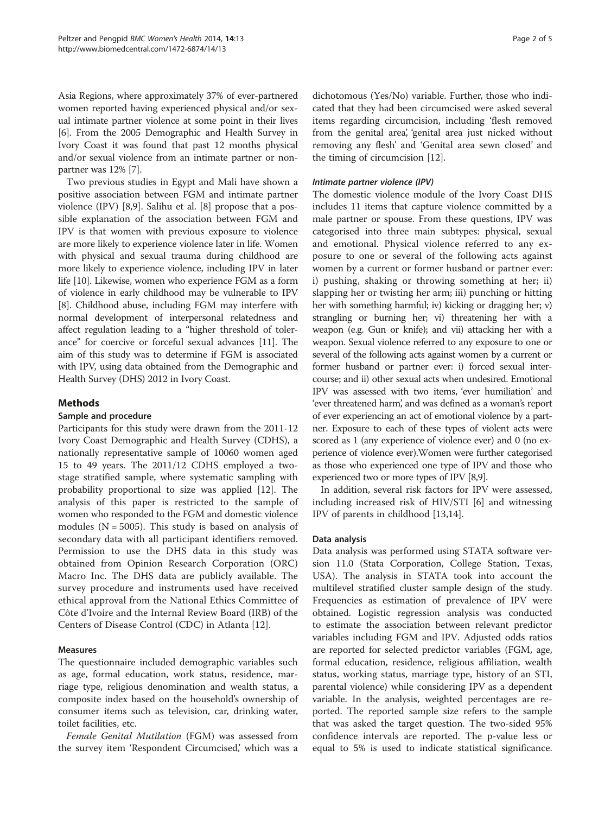Asia Regions, where approximately 37% of ever-partnered women reported having experienced physical and/or sexual intimate partner violence at some point in their lives [[6\]](#page-4-0). From the 2005 Demographic and Health Survey in Ivory Coast it was found that past 12 months physical and/or sexual violence from an intimate partner or nonpartner was 12% [\[7](#page-4-0)].

Two previous studies in Egypt and Mali have shown a positive association between FGM and intimate partner violence (IPV) [\[8,9](#page-4-0)]. Salihu et al. [\[8](#page-4-0)] propose that a possible explanation of the association between FGM and IPV is that women with previous exposure to violence are more likely to experience violence later in life. Women with physical and sexual trauma during childhood are more likely to experience violence, including IPV in later life [[10](#page-4-0)]. Likewise, women who experience FGM as a form of violence in early childhood may be vulnerable to IPV [[8\]](#page-4-0). Childhood abuse, including FGM may interfere with normal development of interpersonal relatedness and affect regulation leading to a "higher threshold of tolerance" for coercive or forceful sexual advances [\[11](#page-4-0)]. The aim of this study was to determine if FGM is associated with IPV, using data obtained from the Demographic and Health Survey (DHS) 2012 in Ivory Coast.

## Methods

## Sample and procedure

Participants for this study were drawn from the 2011-12 Ivory Coast Demographic and Health Survey (CDHS), a nationally representative sample of 10060 women aged 15 to 49 years. The 2011/12 CDHS employed a twostage stratified sample, where systematic sampling with probability proportional to size was applied [\[12\]](#page-4-0). The analysis of this paper is restricted to the sample of women who responded to the FGM and domestic violence modules ( $N = 5005$ ). This study is based on analysis of secondary data with all participant identifiers removed. Permission to use the DHS data in this study was obtained from Opinion Research Corporation (ORC) Macro Inc. The DHS data are publicly available. The survey procedure and instruments used have received ethical approval from the National Ethics Committee of Côte d'Ivoire and the Internal Review Board (IRB) of the Centers of Disease Control (CDC) in Atlanta [[12\]](#page-4-0).

## Measures

The questionnaire included demographic variables such as age, formal education, work status, residence, marriage type, religious denomination and wealth status, a composite index based on the household's ownership of consumer items such as television, car, drinking water, toilet facilities, etc.

Female Genital Mutilation (FGM) was assessed from the survey item 'Respondent Circumcised,' which was a

dichotomous (Yes/No) variable. Further, those who indicated that they had been circumcised were asked several items regarding circumcision, including 'flesh removed from the genital area', 'genital area just nicked without removing any flesh' and 'Genital area sewn closed' and the timing of circumcision [\[12](#page-4-0)].

#### Intimate partner violence (IPV)

The domestic violence module of the Ivory Coast DHS includes 11 items that capture violence committed by a male partner or spouse. From these questions, IPV was categorised into three main subtypes: physical, sexual and emotional. Physical violence referred to any exposure to one or several of the following acts against women by a current or former husband or partner ever: i) pushing, shaking or throwing something at her; ii) slapping her or twisting her arm; iii) punching or hitting her with something harmful; iv) kicking or dragging her; v) strangling or burning her; vi) threatening her with a weapon (e.g. Gun or knife); and vii) attacking her with a weapon. Sexual violence referred to any exposure to one or several of the following acts against women by a current or former husband or partner ever: i) forced sexual intercourse; and ii) other sexual acts when undesired. Emotional IPV was assessed with two items, 'ever humiliation' and 'ever threatened harm', and was defined as a woman's report of ever experiencing an act of emotional violence by a partner. Exposure to each of these types of violent acts were scored as 1 (any experience of violence ever) and 0 (no experience of violence ever).Women were further categorised as those who experienced one type of IPV and those who experienced two or more types of IPV [\[8,9\]](#page-4-0).

In addition, several risk factors for IPV were assessed, including increased risk of HIV/STI [\[6](#page-4-0)] and witnessing IPV of parents in childhood [\[13,14\]](#page-4-0).

#### Data analysis

Data analysis was performed using STATA software version 11.0 (Stata Corporation, College Station, Texas, USA). The analysis in STATA took into account the multilevel stratified cluster sample design of the study. Frequencies as estimation of prevalence of IPV were obtained. Logistic regression analysis was conducted to estimate the association between relevant predictor variables including FGM and IPV. Adjusted odds ratios are reported for selected predictor variables (FGM, age, formal education, residence, religious affiliation, wealth status, working status, marriage type, history of an STI, parental violence) while considering IPV as a dependent variable. In the analysis, weighted percentages are reported. The reported sample size refers to the sample that was asked the target question. The two-sided 95% confidence intervals are reported. The p-value less or equal to 5% is used to indicate statistical significance.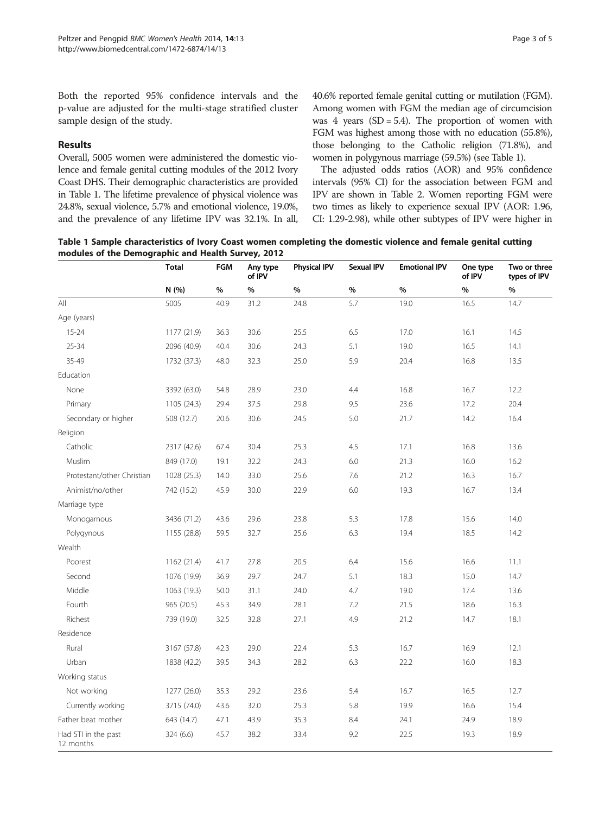Both the reported 95% confidence intervals and the p-value are adjusted for the multi-stage stratified cluster sample design of the study.

## Results

Overall, 5005 women were administered the domestic violence and female genital cutting modules of the 2012 Ivory Coast DHS. Their demographic characteristics are provided in Table 1. The lifetime prevalence of physical violence was 24.8%, sexual violence, 5.7% and emotional violence, 19.0%, and the prevalence of any lifetime IPV was 32.1%. In all, 40.6% reported female genital cutting or mutilation (FGM). Among women with FGM the median age of circumcision was 4 years  $(SD = 5.4)$ . The proportion of women with FGM was highest among those with no education (55.8%), those belonging to the Catholic religion (71.8%), and women in polygynous marriage (59.5%) (see Table 1).

The adjusted odds ratios (AOR) and 95% confidence intervals (95% CI) for the association between FGM and IPV are shown in Table [2.](#page-3-0) Women reporting FGM were two times as likely to experience sexual IPV (AOR: 1.96, CI: 1.29-2.98), while other subtypes of IPV were higher in

Table 1 Sample characteristics of Ivory Coast women completing the domestic violence and female genital cutting modules of the Demographic and Health Survey, 2012

|                                  | <b>Total</b> | <b>FGM</b> | Any type<br>of IPV | <b>Physical IPV</b> | <b>Sexual IPV</b> | <b>Emotional IPV</b> | One type<br>of IPV | Two or three<br>types of IPV |
|----------------------------------|--------------|------------|--------------------|---------------------|-------------------|----------------------|--------------------|------------------------------|
|                                  | N (%)        | $\%$       | %                  | %                   | $\%$              | %                    | %                  | $\%$                         |
| All                              | 5005         | 40.9       | 31.2               | 24.8                | 5.7               | 19.0                 | 16.5               | 14.7                         |
| Age (years)                      |              |            |                    |                     |                   |                      |                    |                              |
| $15 - 24$                        | 1177 (21.9)  | 36.3       | 30.6               | 25.5                | 6.5               | 17.0                 | 16.1               | 14.5                         |
| $25 - 34$                        | 2096 (40.9)  | 40.4       | 30.6               | 24.3                | 5.1               | 19.0                 | 16.5               | 14.1                         |
| 35-49                            | 1732 (37.3)  | 48.0       | 32.3               | 25.0                | 5.9               | 20.4                 | 16.8               | 13.5                         |
| Education                        |              |            |                    |                     |                   |                      |                    |                              |
| None                             | 3392 (63.0)  | 54.8       | 28.9               | 23.0                | 4.4               | 16.8                 | 16.7               | 12.2                         |
| Primary                          | 1105 (24.3)  | 29.4       | 37.5               | 29.8                | 9.5               | 23.6                 | 17.2               | 20.4                         |
| Secondary or higher              | 508 (12.7)   | 20.6       | 30.6               | 24.5                | 5.0               | 21.7                 | 14.2               | 16.4                         |
| Religion                         |              |            |                    |                     |                   |                      |                    |                              |
| Catholic                         | 2317 (42.6)  | 67.4       | 30.4               | 25.3                | 4.5               | 17.1                 | 16.8               | 13.6                         |
| Muslim                           | 849 (17.0)   | 19.1       | 32.2               | 24.3                | 6.0               | 21.3                 | 16.0               | 16.2                         |
| Protestant/other Christian       | 1028 (25.3)  | 14.0       | 33.0               | 25.6                | 7.6               | 21.2                 | 16.3               | 16.7                         |
| Animist/no/other                 | 742 (15.2)   | 45.9       | 30.0               | 22.9                | 6.0               | 19.3                 | 16.7               | 13.4                         |
| Marriage type                    |              |            |                    |                     |                   |                      |                    |                              |
| Monogamous                       | 3436 (71.2)  | 43.6       | 29.6               | 23.8                | 5.3               | 17.8                 | 15.6               | 14.0                         |
| Polygynous                       | 1155 (28.8)  | 59.5       | 32.7               | 25.6                | 6.3               | 19.4                 | 18.5               | 14.2                         |
| Wealth                           |              |            |                    |                     |                   |                      |                    |                              |
| Poorest                          | 1162 (21.4)  | 41.7       | 27.8               | 20.5                | 6.4               | 15.6                 | 16.6               | 11.1                         |
| Second                           | 1076 (19.9)  | 36.9       | 29.7               | 24.7                | 5.1               | 18.3                 | 15.0               | 14.7                         |
| Middle                           | 1063 (19.3)  | 50.0       | 31.1               | 24.0                | 4.7               | 19.0                 | 17.4               | 13.6                         |
| Fourth                           | 965 (20.5)   | 45.3       | 34.9               | 28.1                | 7.2               | 21.5                 | 18.6               | 16.3                         |
| Richest                          | 739 (19.0)   | 32.5       | 32.8               | 27.1                | 4.9               | 21.2                 | 14.7               | 18.1                         |
| Residence                        |              |            |                    |                     |                   |                      |                    |                              |
| Rural                            | 3167 (57.8)  | 42.3       | 29.0               | 22.4                | 5.3               | 16.7                 | 16.9               | 12.1                         |
| Urban                            | 1838 (42.2)  | 39.5       | 34.3               | 28.2                | 6.3               | 22.2                 | 16.0               | 18.3                         |
| Working status                   |              |            |                    |                     |                   |                      |                    |                              |
| Not working                      | 1277 (26.0)  | 35.3       | 29.2               | 23.6                | 5.4               | 16.7                 | 16.5               | 12.7                         |
| Currently working                | 3715 (74.0)  | 43.6       | 32.0               | 25.3                | 5.8               | 19.9                 | 16.6               | 15.4                         |
| Father beat mother               | 643 (14.7)   | 47.1       | 43.9               | 35.3                | 8.4               | 24.1                 | 24.9               | 18.9                         |
| Had STI in the past<br>12 months | 324 (6.6)    | 45.7       | 38.2               | 33.4                | 9.2               | 22.5                 | 19.3               | 18.9                         |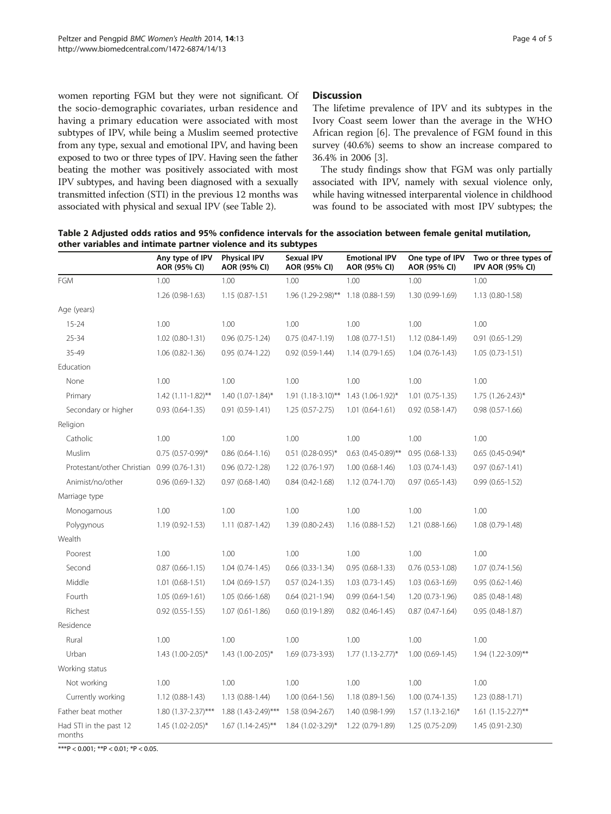<span id="page-3-0"></span>women reporting FGM but they were not significant. Of the socio-demographic covariates, urban residence and having a primary education were associated with most subtypes of IPV, while being a Muslim seemed protective from any type, sexual and emotional IPV, and having been exposed to two or three types of IPV. Having seen the father beating the mother was positively associated with most IPV subtypes, and having been diagnosed with a sexually transmitted infection (STI) in the previous 12 months was associated with physical and sexual IPV (see Table 2).

## Discussion

The lifetime prevalence of IPV and its subtypes in the Ivory Coast seem lower than the average in the WHO African region [\[6](#page-4-0)]. The prevalence of FGM found in this survey (40.6%) seems to show an increase compared to 36.4% in 2006 [\[3\]](#page-4-0).

The study findings show that FGM was only partially associated with IPV, namely with sexual violence only, while having witnessed interparental violence in childhood was found to be associated with most IPV subtypes; the

Table 2 Adjusted odds ratios and 95% confidence intervals for the association between female genital mutilation, other variables and intimate partner violence and its subtypes

|                                             | Any type of IPV<br>AOR (95% CI) | <b>Physical IPV</b><br>AOR (95% CI) | <b>Sexual IPV</b><br>AOR (95% CI) | <b>Emotional IPV</b><br>AOR (95% CI) | One type of IPV<br>AOR (95% CI) | Two or three types of<br><b>IPV AOR (95% CI)</b> |
|---------------------------------------------|---------------------------------|-------------------------------------|-----------------------------------|--------------------------------------|---------------------------------|--------------------------------------------------|
| FGM                                         | 1.00                            | 1.00                                | 1.00                              | 1.00                                 | 1.00                            | 1.00                                             |
|                                             | 1.26 (0.98-1.63)                | 1.15 (0.87-1.51                     | 1.96 (1.29-2.98)**                | 1.18 (0.88-1.59)                     | 1.30 (0.99-1.69)                | 1.13 (0.80-1.58)                                 |
| Age (years)                                 |                                 |                                     |                                   |                                      |                                 |                                                  |
| $15 - 24$                                   | 1.00                            | 1.00                                | 1.00                              | 1.00                                 | 1.00                            | 1.00                                             |
| 25-34                                       | 1.02 (0.80-1.31)                | $0.96$ $(0.75-1.24)$                | $0.75(0.47-1.19)$                 | $1.08(0.77-1.51)$                    | 1.12 (0.84-1.49)                | $0.91(0.65-1.29)$                                |
| 35-49                                       | $1.06$ $(0.82 - 1.36)$          | $0.95(0.74-1.22)$                   | $0.92(0.59-1.44)$                 | $1.14(0.79-1.65)$                    | $1.04(0.76-1.43)$               | $1.05(0.73-1.51)$                                |
| Education                                   |                                 |                                     |                                   |                                      |                                 |                                                  |
| None                                        | 1.00                            | 1.00                                | 1.00                              | 1.00                                 | 1.00                            | 1.00                                             |
| Primary                                     | $1.42$ (1.11-1.82)**            | 1.40 (1.07-1.84)*                   | $1.91 (1.18 - 3.10)$ **           | 1.43 (1.06-1.92)*                    | $1.01$ (0.75-1.35)              | 1.75 (1.26-2.43)*                                |
| Secondary or higher                         | $0.93(0.64-1.35)$               | $0.91(0.59-1.41)$                   | $1.25(0.57 - 2.75)$               | $1.01(0.64-1.61)$                    | $0.92$ $(0.58-1.47)$            | $0.98(0.57-1.66)$                                |
| Religion                                    |                                 |                                     |                                   |                                      |                                 |                                                  |
| Catholic                                    | 1.00                            | 1.00                                | 1.00                              | 1.00                                 | 1.00                            | 1.00                                             |
| Muslim                                      | $0.75$ $(0.57-0.99)$ *          | $0.86(0.64 - 1.16)$                 | $0.51$ (0.28-0.95)*               | $0.63$ (0.45-0.89)**                 | $0.95(0.68-1.33)$               | $0.65$ (0.45-0.94)*                              |
| Protestant/other Christian 0.99 (0.76-1.31) |                                 | $0.96(0.72 - 1.28)$                 | $1.22(0.76-1.97)$                 | $1.00(0.68-1.46)$                    | $1.03(0.74-1.43)$               | $0.97(0.67 - 1.41)$                              |
| Animist/no/other                            | $0.96(0.69-1.32)$               | $0.97(0.68-1.40)$                   | $0.84(0.42 - 1.68)$               | 1.12 (0.74-1.70)                     | $0.97(0.65 - 1.43)$             | $0.99(0.65 - 1.52)$                              |
| Marriage type                               |                                 |                                     |                                   |                                      |                                 |                                                  |
| Monogamous                                  | 1.00                            | 1.00                                | 1.00                              | 1.00                                 | 1.00                            | 1.00                                             |
| Polygynous                                  | 1.19 (0.92-1.53)                | $1.11(0.87-1.42)$                   | 1.39 (0.80-2.43)                  | 1.16 (0.88-1.52)                     | $1.21(0.88-1.66)$               | 1.08 (0.79-1.48)                                 |
| Wealth                                      |                                 |                                     |                                   |                                      |                                 |                                                  |
| Poorest                                     | 1.00                            | 1.00                                | 1.00                              | 1.00                                 | 1.00                            | 1.00                                             |
| Second                                      | $0.87$ $(0.66 - 1.15)$          | $1.04(0.74-1.45)$                   | $0.66$ $(0.33-1.34)$              | $0.95(0.68-1.33)$                    | $0.76$ $(0.53-1.08)$            | $1.07(0.74-1.56)$                                |
| Middle                                      | $1.01(0.68-1.51)$               | $1.04(0.69-1.57)$                   | $0.57(0.24-1.35)$                 | $1.03(0.73-1.45)$                    | $1.03(0.63 - 1.69)$             | $0.95(0.62 - 1.46)$                              |
| Fourth                                      | $1.05(0.69-1.61)$               | $1.05(0.66 - 1.68)$                 | $0.64$ $(0.21 - 1.94)$            | $0.99(0.64 - 1.54)$                  | $1.20(0.73-1.96)$               | $0.85(0.48-1.48)$                                |
| Richest                                     | $0.92$ $(0.55 - 1.55)$          | $1.07(0.61 - 1.86)$                 | $0.60(0.19-1.89)$                 | $0.82$ $(0.46 - 1.45)$               | $0.87(0.47-1.64)$               | $0.95(0.48-1.87)$                                |
| Residence                                   |                                 |                                     |                                   |                                      |                                 |                                                  |
| Rural                                       | 1.00                            | 1.00                                | 1.00                              | 1.00                                 | 1.00                            | 1.00                                             |
| Urban                                       | 1.43 (1.00-2.05)*               | 1.43 (1.00-2.05)*                   | 1.69 (0.73-3.93)                  | $1.77$ $(1.13 - 2.77)^*$             | $1.00(0.69-1.45)$               | 1.94 (1.22-3.09)**                               |
| Working status                              |                                 |                                     |                                   |                                      |                                 |                                                  |
| Not working                                 | 1.00                            | 1.00                                | 1.00                              | 1.00                                 | 1.00                            | 1.00                                             |
| Currently working                           | $1.12(0.88-1.43)$               | $1.13(0.88-1.44)$                   | $1.00(0.64-1.56)$                 | 1.18 (0.89-1.56)                     | $1.00(0.74-1.35)$               | $1.23(0.88-1.71)$                                |
| Father beat mother                          | 1.80 (1.37-2.37)***             | 1.88 (1.43-2.49)***                 | 1.58 (0.94-2.67)                  | 1.40 (0.98-1.99)                     | $1.57$ (1.13-2.16)*             | $1.61$ (1.15-2.27)**                             |
| Had STI in the past 12<br>months            | $1.45$ $(1.02 - 2.05)^*$        | $1.67$ (1.14-2.45)**                | 1.84 (1.02-3.29)*                 | 1.22 (0.79-1.89)                     | 1.25 (0.75-2.09)                | 1.45 (0.91-2.30)                                 |

\*\*\*P < 0.001; \*\*P < 0.01; \*P < 0.05.